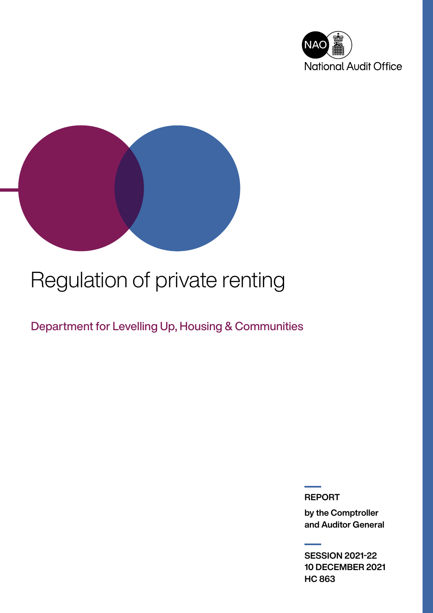



# Regulation of private renting

Department for Levelling Up, Housing & Communities

REPORT

by the Comptroller and Auditor General

SESSION 2021-22 10 DECEMBER 2021 HC 863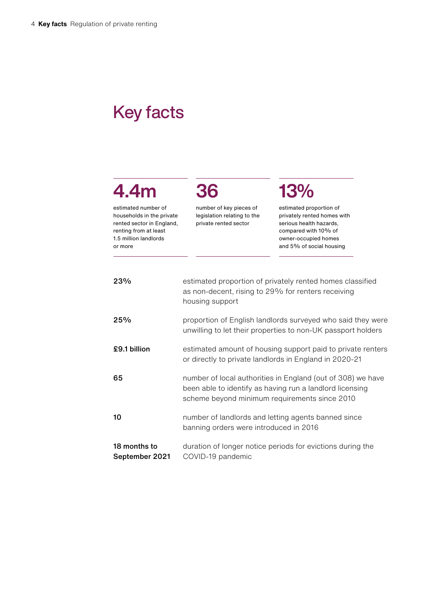### Key facts

## 4.4m

estimated number of households in the private rented sector in England, renting from at least 1.5 million landlords or more

number of key pieces of legislation relating to the private rented sector

36

## 13%

estimated proportion of privately rented homes with serious health hazards, compared with 10% of owner-occupied homes and 5% of social housing

| 23%                            | estimated proportion of privately rented homes classified<br>as non-decent, rising to 29% for renters receiving<br>housing support                                       |
|--------------------------------|--------------------------------------------------------------------------------------------------------------------------------------------------------------------------|
| 25%                            | proportion of English landlords surveyed who said they were<br>unwilling to let their properties to non-UK passport holders                                              |
| £9.1 billion                   | estimated amount of housing support paid to private renters<br>or directly to private landlords in England in 2020-21                                                    |
| 65                             | number of local authorities in England (out of 308) we have<br>been able to identify as having run a landlord licensing<br>scheme beyond minimum requirements since 2010 |
| 10                             | number of landlords and letting agents banned since<br>banning orders were introduced in 2016                                                                            |
| 18 months to<br>September 2021 | duration of longer notice periods for evictions during the<br>COVID-19 pandemic                                                                                          |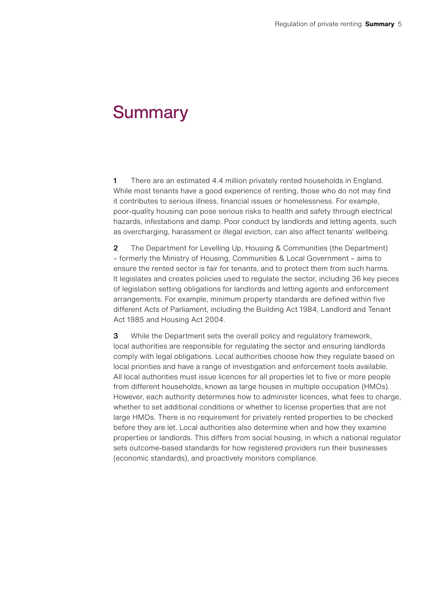### **Summary**

1 There are an estimated 4.4 million privately rented households in England. While most tenants have a good experience of renting, those who do not may find it contributes to serious illness, financial issues or homelessness. For example, poor-quality housing can pose serious risks to health and safety through electrical hazards, infestations and damp. Poor conduct by landlords and letting agents, such as overcharging, harassment or illegal eviction, can also affect tenants' wellbeing.

2 The Department for Levelling Up, Housing & Communities (the Department) – formerly the Ministry of Housing, Communities & Local Government – aims to ensure the rented sector is fair for tenants, and to protect them from such harms. It legislates and creates policies used to regulate the sector, including 36 key pieces of legislation setting obligations for landlords and letting agents and enforcement arrangements. For example, minimum property standards are defined within five different Acts of Parliament, including the Building Act 1984, Landlord and Tenant Act 1985 and Housing Act 2004.

**3** While the Department sets the overall policy and regulatory framework, local authorities are responsible for regulating the sector and ensuring landlords comply with legal obligations. Local authorities choose how they regulate based on local priorities and have a range of investigation and enforcement tools available. All local authorities must issue licences for all properties let to five or more people from different households, known as large houses in multiple occupation (HMOs). However, each authority determines how to administer licences, what fees to charge, whether to set additional conditions or whether to license properties that are not large HMOs. There is no requirement for privately rented properties to be checked before they are let. Local authorities also determine when and how they examine properties or landlords. This differs from social housing, in which a national regulator sets outcome-based standards for how registered providers run their businesses (economic standards), and proactively monitors compliance.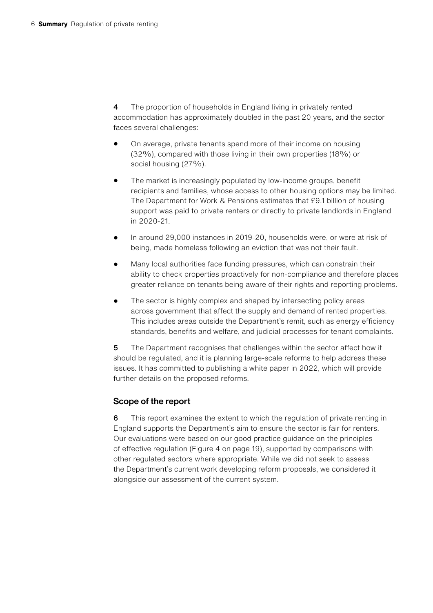4 The proportion of households in England living in privately rented accommodation has approximately doubled in the past 20 years, and the sector faces several challenges:

- On average, private tenants spend more of their income on housing (32%), compared with those living in their own properties (18%) or social housing (27%).
- The market is increasingly populated by low-income groups, benefit recipients and families, whose access to other housing options may be limited. The Department for Work & Pensions estimates that £9.1 billion of housing support was paid to private renters or directly to private landlords in England in 2020-21.
- In around 29,000 instances in 2019-20, households were, or were at risk of being, made homeless following an eviction that was not their fault.
- Many local authorities face funding pressures, which can constrain their ability to check properties proactively for non-compliance and therefore places greater reliance on tenants being aware of their rights and reporting problems.
- The sector is highly complex and shaped by intersecting policy areas across government that affect the supply and demand of rented properties. This includes areas outside the Department's remit, such as energy efficiency standards, benefits and welfare, and judicial processes for tenant complaints.

5 The Department recognises that challenges within the sector affect how it should be regulated, and it is planning large-scale reforms to help address these issues. It has committed to publishing a white paper in 2022, which will provide further details on the proposed reforms.

#### Scope of the report

6 This report examines the extent to which the regulation of private renting in England supports the Department's aim to ensure the sector is fair for renters. Our evaluations were based on our good practice guidance on the principles of effective regulation (Figure 4 on page 19), supported by comparisons with other regulated sectors where appropriate. While we did not seek to assess the Department's current work developing reform proposals, we considered it alongside our assessment of the current system.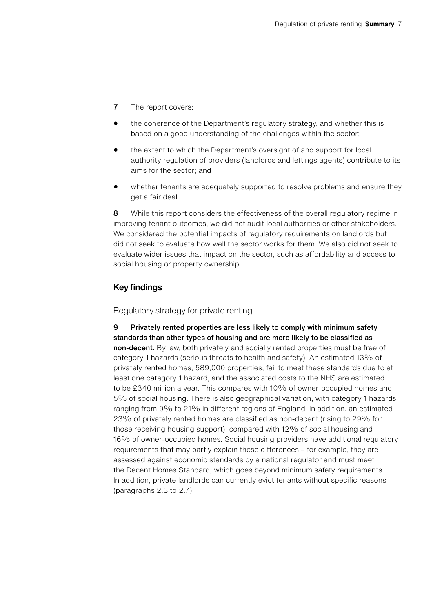- 7 The report covers:
- the coherence of the Department's regulatory strategy, and whether this is based on a good understanding of the challenges within the sector;
- the extent to which the Department's oversight of and support for local authority regulation of providers (landlords and lettings agents) contribute to its aims for the sector; and
- whether tenants are adequately supported to resolve problems and ensure they get a fair deal.

8 While this report considers the effectiveness of the overall regulatory regime in improving tenant outcomes, we did not audit local authorities or other stakeholders. We considered the potential impacts of regulatory requirements on landlords but did not seek to evaluate how well the sector works for them. We also did not seek to evaluate wider issues that impact on the sector, such as affordability and access to social housing or property ownership.

#### Key findings

#### Regulatory strategy for private renting

9 Privately rented properties are less likely to comply with minimum safety standards than other types of housing and are more likely to be classified as non-decent. By law, both privately and socially rented properties must be free of category 1 hazards (serious threats to health and safety). An estimated 13% of privately rented homes, 589,000 properties, fail to meet these standards due to at least one category 1 hazard, and the associated costs to the NHS are estimated to be £340 million a year. This compares with 10% of owner-occupied homes and 5% of social housing. There is also geographical variation, with category 1 hazards ranging from 9% to 21% in different regions of England. In addition, an estimated 23% of privately rented homes are classified as non-decent (rising to 29% for those receiving housing support), compared with 12% of social housing and 16% of owner-occupied homes. Social housing providers have additional regulatory requirements that may partly explain these differences – for example, they are assessed against economic standards by a national regulator and must meet the Decent Homes Standard, which goes beyond minimum safety requirements. In addition, private landlords can currently evict tenants without specific reasons (paragraphs 2.3 to 2.7).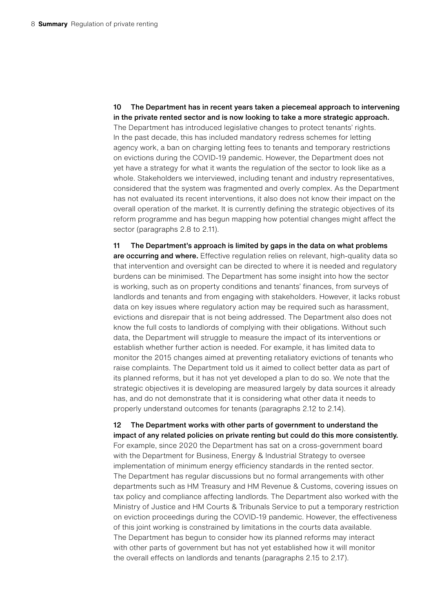10 The Department has in recent years taken a piecemeal approach to intervening in the private rented sector and is now looking to take a more strategic approach. The Department has introduced legislative changes to protect tenants' rights. In the past decade, this has included mandatory redress schemes for letting agency work, a ban on charging letting fees to tenants and temporary restrictions on evictions during the COVID-19 pandemic. However, the Department does not yet have a strategy for what it wants the regulation of the sector to look like as a whole. Stakeholders we interviewed, including tenant and industry representatives, considered that the system was fragmented and overly complex. As the Department has not evaluated its recent interventions, it also does not know their impact on the overall operation of the market. It is currently defining the strategic objectives of its reform programme and has begun mapping how potential changes might affect the sector (paragraphs 2.8 to 2.11).

11 The Department's approach is limited by gaps in the data on what problems are occurring and where. Effective regulation relies on relevant, high-quality data so that intervention and oversight can be directed to where it is needed and regulatory burdens can be minimised. The Department has some insight into how the sector is working, such as on property conditions and tenants' finances, from surveys of landlords and tenants and from engaging with stakeholders. However, it lacks robust data on key issues where regulatory action may be required such as harassment, evictions and disrepair that is not being addressed. The Department also does not know the full costs to landlords of complying with their obligations. Without such data, the Department will struggle to measure the impact of its interventions or establish whether further action is needed. For example, it has limited data to monitor the 2015 changes aimed at preventing retaliatory evictions of tenants who raise complaints. The Department told us it aimed to collect better data as part of its planned reforms, but it has not yet developed a plan to do so. We note that the strategic objectives it is developing are measured largely by data sources it already has, and do not demonstrate that it is considering what other data it needs to properly understand outcomes for tenants (paragraphs 2.12 to 2.14).

12 The Department works with other parts of government to understand the impact of any related policies on private renting but could do this more consistently. For example, since 2020 the Department has sat on a cross-government board with the Department for Business, Energy & Industrial Strategy to oversee implementation of minimum energy efficiency standards in the rented sector. The Department has regular discussions but no formal arrangements with other departments such as HM Treasury and HM Revenue & Customs, covering issues on tax policy and compliance affecting landlords. The Department also worked with the Ministry of Justice and HM Courts & Tribunals Service to put a temporary restriction on eviction proceedings during the COVID-19 pandemic. However, the effectiveness of this joint working is constrained by limitations in the courts data available. The Department has begun to consider how its planned reforms may interact with other parts of government but has not yet established how it will monitor the overall effects on landlords and tenants (paragraphs 2.15 to 2.17).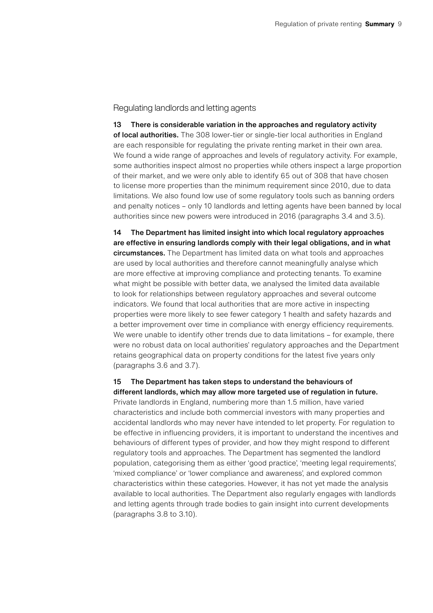#### Regulating landlords and letting agents

13 There is considerable variation in the approaches and regulatory activity of local authorities. The 308 lower-tier or single-tier local authorities in England are each responsible for regulating the private renting market in their own area. We found a wide range of approaches and levels of regulatory activity. For example, some authorities inspect almost no properties while others inspect a large proportion of their market, and we were only able to identify 65 out of 308 that have chosen to license more properties than the minimum requirement since 2010, due to data limitations. We also found low use of some regulatory tools such as banning orders and penalty notices – only 10 landlords and letting agents have been banned by local authorities since new powers were introduced in 2016 (paragraphs 3.4 and 3.5).

14 The Department has limited insight into which local regulatory approaches are effective in ensuring landlords comply with their legal obligations, and in what circumstances. The Department has limited data on what tools and approaches are used by local authorities and therefore cannot meaningfully analyse which are more effective at improving compliance and protecting tenants. To examine what might be possible with better data, we analysed the limited data available to look for relationships between regulatory approaches and several outcome indicators. We found that local authorities that are more active in inspecting properties were more likely to see fewer category 1 health and safety hazards and a better improvement over time in compliance with energy efficiency requirements. We were unable to identify other trends due to data limitations – for example, there were no robust data on local authorities' regulatory approaches and the Department retains geographical data on property conditions for the latest five years only (paragraphs 3.6 and 3.7).

15 The Department has taken steps to understand the behaviours of different landlords, which may allow more targeted use of regulation in future. Private landlords in England, numbering more than 1.5 million, have varied characteristics and include both commercial investors with many properties and accidental landlords who may never have intended to let property. For regulation to be effective in influencing providers, it is important to understand the incentives and behaviours of different types of provider, and how they might respond to different regulatory tools and approaches. The Department has segmented the landlord population, categorising them as either 'good practice', 'meeting legal requirements', 'mixed compliance' or 'lower compliance and awareness', and explored common characteristics within these categories. However, it has not yet made the analysis available to local authorities. The Department also regularly engages with landlords and letting agents through trade bodies to gain insight into current developments (paragraphs 3.8 to 3.10).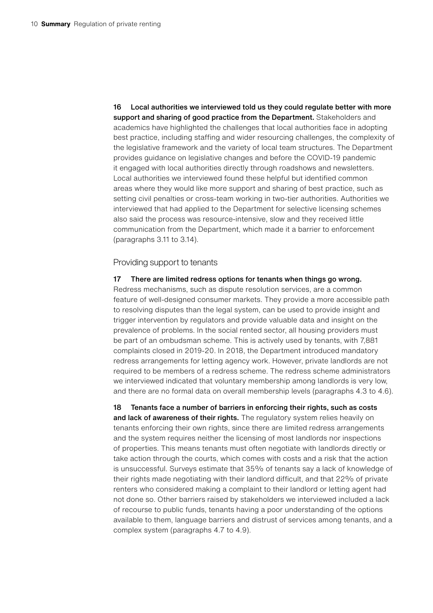16 Local authorities we interviewed told us they could regulate better with more support and sharing of good practice from the Department. Stakeholders and academics have highlighted the challenges that local authorities face in adopting best practice, including staffing and wider resourcing challenges, the complexity of the legislative framework and the variety of local team structures. The Department provides guidance on legislative changes and before the COVID-19 pandemic it engaged with local authorities directly through roadshows and newsletters. Local authorities we interviewed found these helpful but identified common areas where they would like more support and sharing of best practice, such as setting civil penalties or cross-team working in two-tier authorities. Authorities we interviewed that had applied to the Department for selective licensing schemes also said the process was resource-intensive, slow and they received little communication from the Department, which made it a barrier to enforcement (paragraphs 3.11 to 3.14).

Providing support to tenants

#### 17 There are limited redress options for tenants when things go wrong.

Redress mechanisms, such as dispute resolution services, are a common feature of well-designed consumer markets. They provide a more accessible path to resolving disputes than the legal system, can be used to provide insight and trigger intervention by regulators and provide valuable data and insight on the prevalence of problems. In the social rented sector, all housing providers must be part of an ombudsman scheme. This is actively used by tenants, with 7,881 complaints closed in 2019-20. In 2018, the Department introduced mandatory redress arrangements for letting agency work. However, private landlords are not required to be members of a redress scheme. The redress scheme administrators we interviewed indicated that voluntary membership among landlords is very low, and there are no formal data on overall membership levels (paragraphs 4.3 to 4.6).

18 Tenants face a number of barriers in enforcing their rights, such as costs and lack of awareness of their rights. The regulatory system relies heavily on tenants enforcing their own rights, since there are limited redress arrangements and the system requires neither the licensing of most landlords nor inspections of properties. This means tenants must often negotiate with landlords directly or take action through the courts, which comes with costs and a risk that the action is unsuccessful. Surveys estimate that 35% of tenants say a lack of knowledge of their rights made negotiating with their landlord difficult, and that 22% of private renters who considered making a complaint to their landlord or letting agent had not done so. Other barriers raised by stakeholders we interviewed included a lack of recourse to public funds, tenants having a poor understanding of the options available to them, language barriers and distrust of services among tenants, and a complex system (paragraphs 4.7 to 4.9).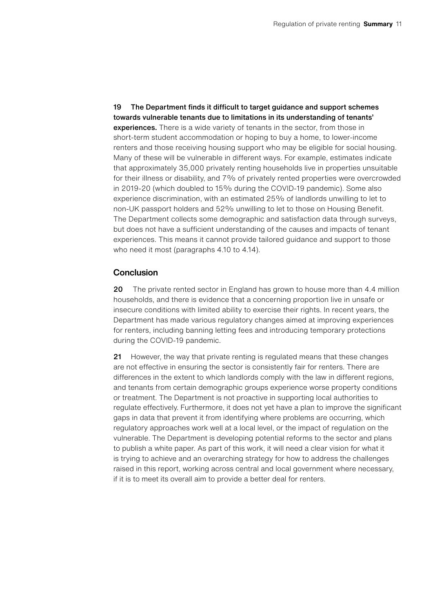19 The Department finds it difficult to target guidance and support schemes towards vulnerable tenants due to limitations in its understanding of tenants' experiences. There is a wide variety of tenants in the sector, from those in short-term student accommodation or hoping to buy a home, to lower-income renters and those receiving housing support who may be eligible for social housing. Many of these will be vulnerable in different ways. For example, estimates indicate that approximately 35,000 privately renting households live in properties unsuitable for their illness or disability, and 7% of privately rented properties were overcrowded in 2019-20 (which doubled to 15% during the COVID-19 pandemic). Some also experience discrimination, with an estimated 25% of landlords unwilling to let to non-UK passport holders and 52% unwilling to let to those on Housing Benefit. The Department collects some demographic and satisfaction data through surveys, but does not have a sufficient understanding of the causes and impacts of tenant experiences. This means it cannot provide tailored guidance and support to those who need it most (paragraphs 4.10 to 4.14).

#### Conclusion

20 The private rented sector in England has grown to house more than 4.4 million households, and there is evidence that a concerning proportion live in unsafe or insecure conditions with limited ability to exercise their rights. In recent years, the Department has made various regulatory changes aimed at improving experiences for renters, including banning letting fees and introducing temporary protections during the COVID-19 pandemic.

21 However, the way that private renting is regulated means that these changes are not effective in ensuring the sector is consistently fair for renters. There are differences in the extent to which landlords comply with the law in different regions, and tenants from certain demographic groups experience worse property conditions or treatment. The Department is not proactive in supporting local authorities to regulate effectively. Furthermore, it does not yet have a plan to improve the significant gaps in data that prevent it from identifying where problems are occurring, which regulatory approaches work well at a local level, or the impact of regulation on the vulnerable. The Department is developing potential reforms to the sector and plans to publish a white paper. As part of this work, it will need a clear vision for what it is trying to achieve and an overarching strategy for how to address the challenges raised in this report, working across central and local government where necessary, if it is to meet its overall aim to provide a better deal for renters.